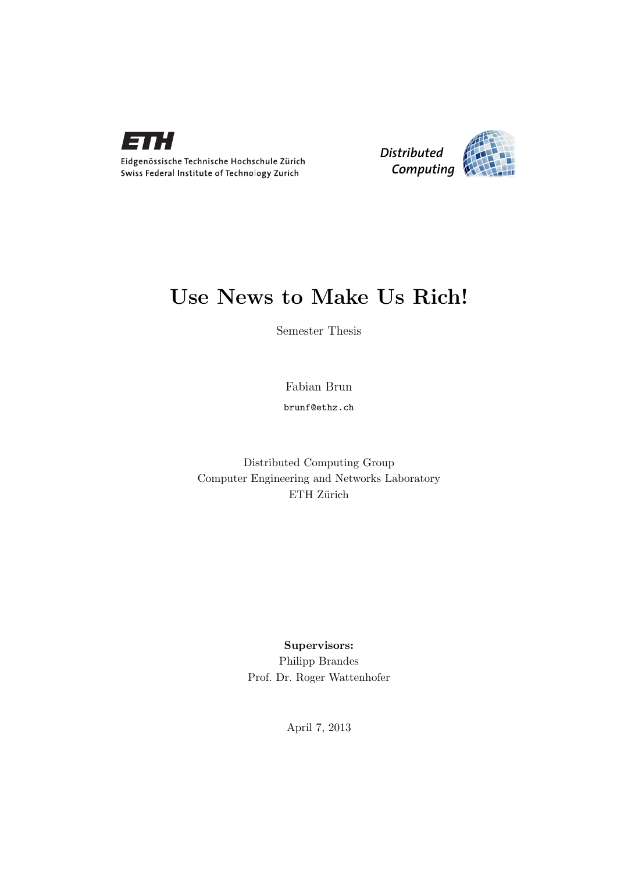



# Use News to Make Us Rich!

Semester Thesis

Fabian Brun

brunf@ethz.ch

Distributed Computing Group Computer Engineering and Networks Laboratory ETH Zürich

> Supervisors: Philipp Brandes Prof. Dr. Roger Wattenhofer

> > April 7, 2013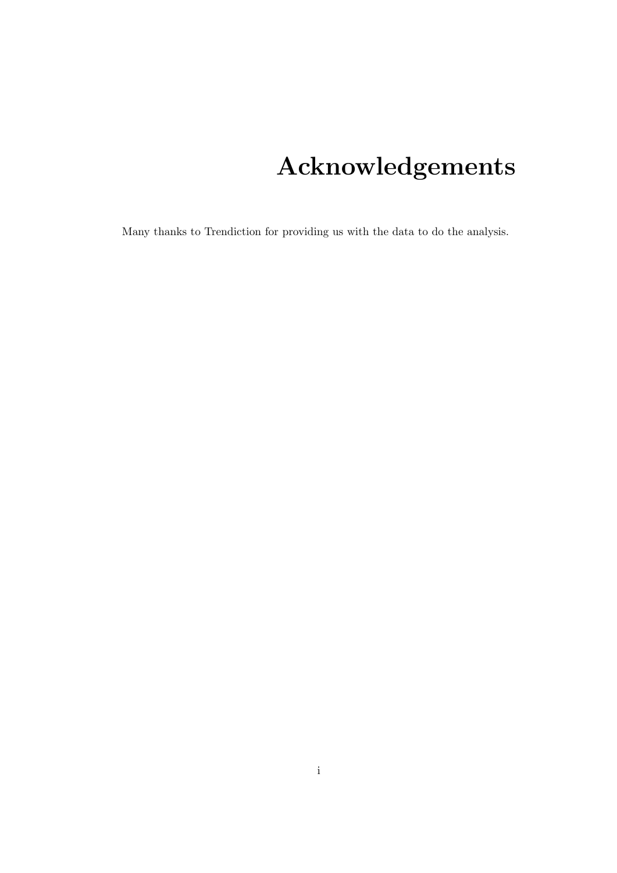# Acknowledgements

<span id="page-1-0"></span>Many thanks to Trendiction for providing us with the data to do the analysis.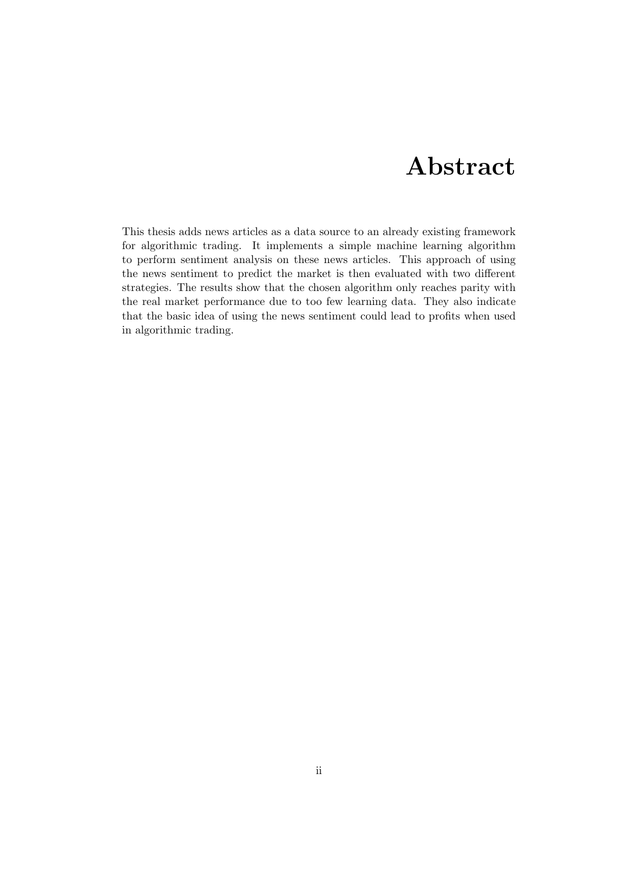# Abstract

<span id="page-2-0"></span>This thesis adds news articles as a data source to an already existing framework for algorithmic trading. It implements a simple machine learning algorithm to perform sentiment analysis on these news articles. This approach of using the news sentiment to predict the market is then evaluated with two different strategies. The results show that the chosen algorithm only reaches parity with the real market performance due to too few learning data. They also indicate that the basic idea of using the news sentiment could lead to profits when used in algorithmic trading.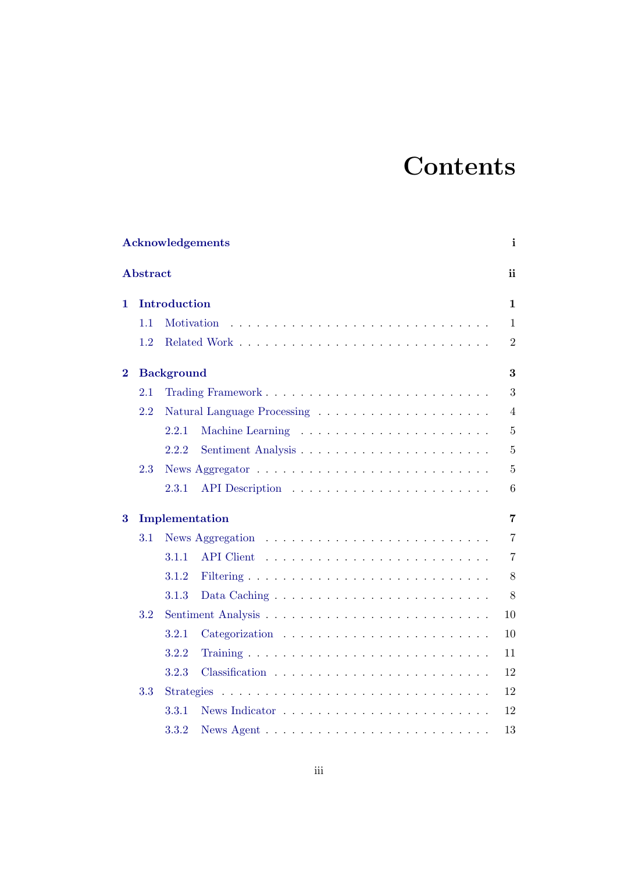# **Contents**

|          |          | Acknowledgements                                                                | i              |
|----------|----------|---------------------------------------------------------------------------------|----------------|
|          | Abstract |                                                                                 | <sub>ii</sub>  |
| 1        |          | Introduction                                                                    | $\mathbf{1}$   |
|          | 1.1      | Motivation                                                                      | 1              |
|          | 1.2      |                                                                                 | $\overline{2}$ |
| $\bf{2}$ |          | <b>Background</b>                                                               | 3              |
|          | 2.1      |                                                                                 | 3              |
|          | 2.2      |                                                                                 | $\overline{4}$ |
|          |          | 2.2.1                                                                           | $\overline{5}$ |
|          |          | 2.2.2                                                                           | 5              |
|          | 2.3      |                                                                                 | 5              |
|          |          | 2.3.1                                                                           | 6              |
| 3        |          | Implementation                                                                  | $\overline{7}$ |
|          | 3.1      | News Aggregation $\ldots \ldots \ldots \ldots \ldots \ldots \ldots \ldots$      | $\overline{7}$ |
|          |          | 3.1.1                                                                           | $\overline{7}$ |
|          |          | 3.1.2                                                                           | 8              |
|          |          | 3.1.3<br>Data Caching $\ldots \ldots \ldots \ldots \ldots \ldots \ldots \ldots$ | 8              |
|          | 3.2      |                                                                                 | 10             |
|          |          | 3.2.1                                                                           | 10             |
|          |          | 3.2.2                                                                           | 11             |
|          |          | 3.2.3                                                                           | 12             |
|          | 3.3      | <b>Strategies</b>                                                               | 12             |
|          |          | 3.3.1                                                                           | 12             |
|          |          | 3.3.2                                                                           | 13             |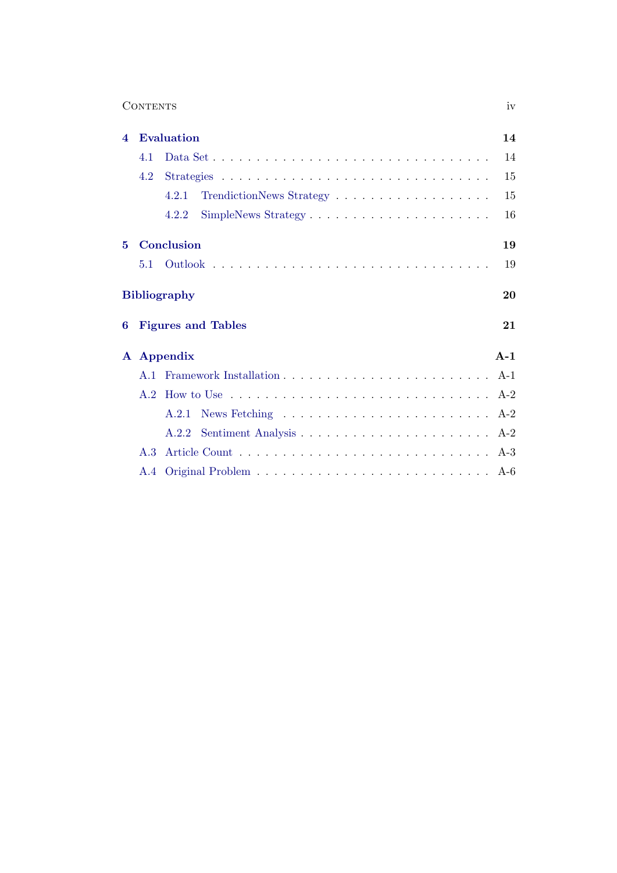| <b>CONTENTS</b> | $\mathbf{V}$ |
|-----------------|--------------|
|                 |              |

| $\boldsymbol{4}$ |     | <b>Evaluation</b>                                                                        | 14    |
|------------------|-----|------------------------------------------------------------------------------------------|-------|
|                  | 4.1 |                                                                                          | 14    |
|                  | 4.2 |                                                                                          | 15    |
|                  |     | 4.2.1                                                                                    | 15    |
|                  |     | 4.2.2                                                                                    | 16    |
| 5                |     | Conclusion                                                                               | 19    |
|                  | 5.1 |                                                                                          | 19    |
|                  |     | <b>Bibliography</b>                                                                      | 20    |
| 6                |     | <b>Figures and Tables</b>                                                                | 21    |
| ${\bf A}$        |     | Appendix                                                                                 | $A-1$ |
|                  | A 1 |                                                                                          |       |
|                  | A.2 | How to Use $\dots \dots \dots \dots \dots \dots \dots \dots \dots \dots \dots \dots$ A-2 |       |
|                  |     | A.2.1                                                                                    |       |
|                  |     | A.2.2                                                                                    |       |
|                  | A.3 |                                                                                          |       |
|                  |     |                                                                                          |       |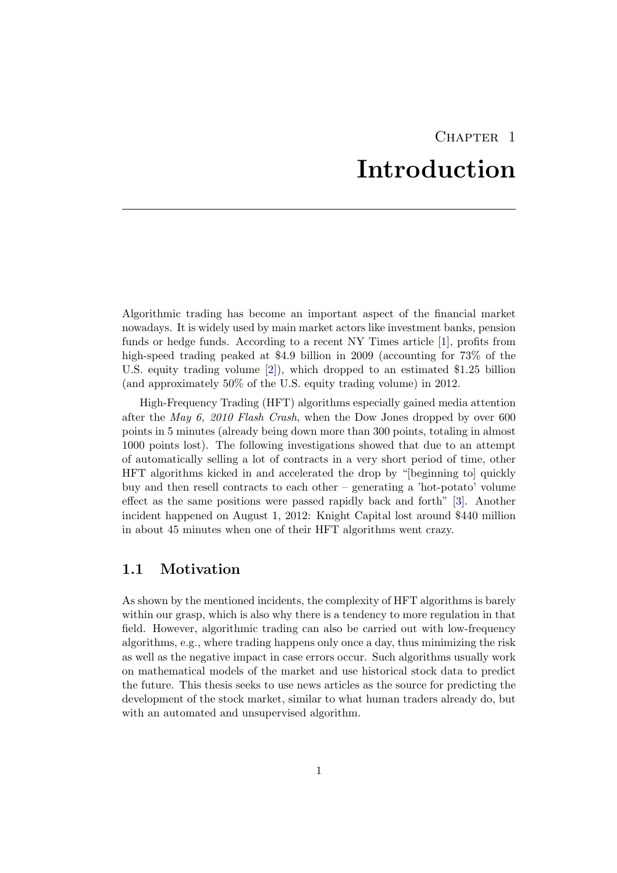# CHAPTER<sub>1</sub> Introduction

<span id="page-5-0"></span>Algorithmic trading has become an important aspect of the financial market nowadays. It is widely used by main market actors like investment banks, pension funds or hedge funds. According to a recent NY Times article [\[1\]](#page-24-1), profits from high-speed trading peaked at \$4.9 billion in 2009 (accounting for 73% of the U.S. equity trading volume [\[2\]](#page-24-2)), which dropped to an estimated \$1.25 billion (and approximately 50% of the U.S. equity trading volume) in 2012.

High-Frequency Trading (HFT) algorithms especially gained media attention after the May 6, 2010 Flash Crash, when the Dow Jones dropped by over 600 points in 5 minutes (already being down more than 300 points, totaling in almost 1000 points lost). The following investigations showed that due to an attempt of automatically selling a lot of contracts in a very short period of time, other HFT algorithms kicked in and accelerated the drop by "[beginning to] quickly buy and then resell contracts to each other – generating a 'hot-potato' volume effect as the same positions were passed rapidly back and forth" [\[3\]](#page-24-3). Another incident happened on August 1, 2012: Knight Capital lost around \$440 million in about 45 minutes when one of their HFT algorithms went crazy.

### <span id="page-5-1"></span>1.1 Motivation

As shown by the mentioned incidents, the complexity of HFT algorithms is barely within our grasp, which is also why there is a tendency to more regulation in that field. However, algorithmic trading can also be carried out with low-frequency algorithms, e.g., where trading happens only once a day, thus minimizing the risk as well as the negative impact in case errors occur. Such algorithms usually work on mathematical models of the market and use historical stock data to predict the future. This thesis seeks to use news articles as the source for predicting the development of the stock market, similar to what human traders already do, but with an automated and unsupervised algorithm.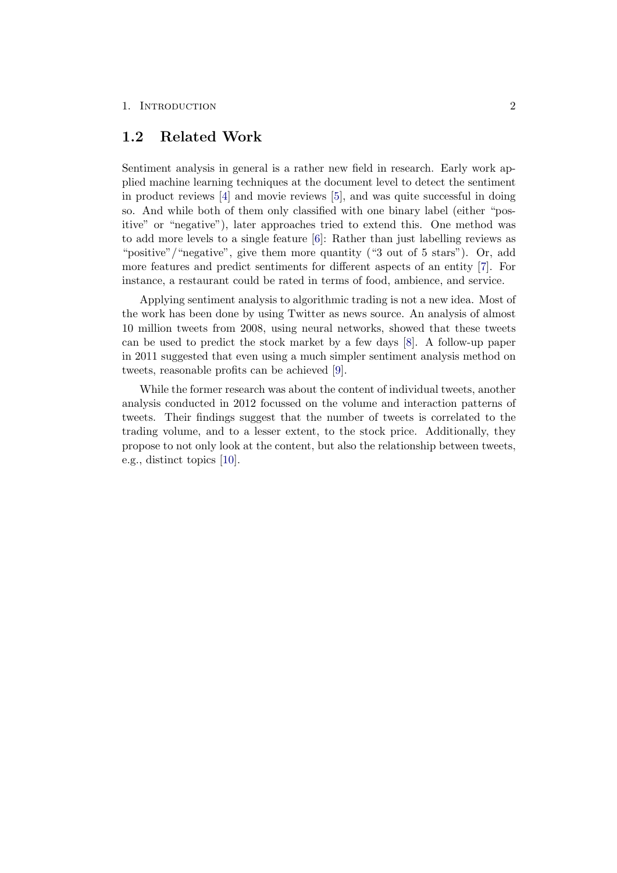#### 1. INTRODUCTION 2

### <span id="page-6-0"></span>1.2 Related Work

Sentiment analysis in general is a rather new field in research. Early work applied machine learning techniques at the document level to detect the sentiment in product reviews [\[4\]](#page-24-4) and movie reviews [\[5\]](#page-24-5), and was quite successful in doing so. And while both of them only classified with one binary label (either "positive" or "negative"), later approaches tried to extend this. One method was to add more levels to a single feature [\[6\]](#page-24-6): Rather than just labelling reviews as "positive"/"negative", give them more quantity ("3 out of 5 stars"). Or, add more features and predict sentiments for different aspects of an entity [\[7\]](#page-24-7). For instance, a restaurant could be rated in terms of food, ambience, and service.

Applying sentiment analysis to algorithmic trading is not a new idea. Most of the work has been done by using Twitter as news source. An analysis of almost 10 million tweets from 2008, using neural networks, showed that these tweets can be used to predict the stock market by a few days [\[8\]](#page-24-8). A follow-up paper in 2011 suggested that even using a much simpler sentiment analysis method on tweets, reasonable profits can be achieved [\[9\]](#page-24-9).

While the former research was about the content of individual tweets, another analysis conducted in 2012 focussed on the volume and interaction patterns of tweets. Their findings suggest that the number of tweets is correlated to the trading volume, and to a lesser extent, to the stock price. Additionally, they propose to not only look at the content, but also the relationship between tweets, e.g., distinct topics [\[10\]](#page-24-10).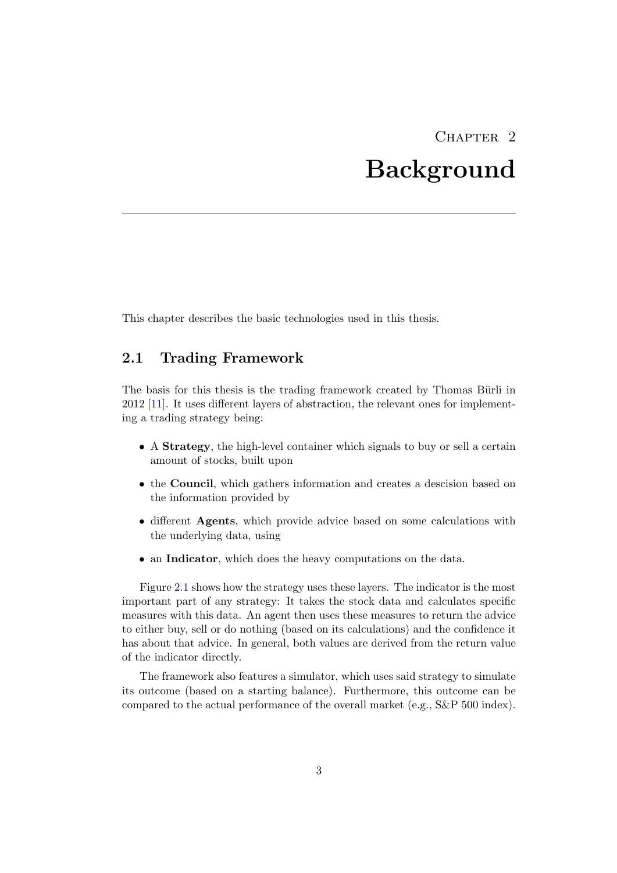# CHAPTER<sub>2</sub> Background

<span id="page-7-0"></span>This chapter describes the basic technologies used in this thesis.

### <span id="page-7-1"></span>2.1 Trading Framework

The basis for this thesis is the trading framework created by Thomas Bürli in 2012 [\[11\]](#page-24-11). It uses different layers of abstraction, the relevant ones for implementing a trading strategy being:

- A Strategy, the high-level container which signals to buy or sell a certain amount of stocks, built upon
- the Council, which gathers information and creates a descision based on the information provided by
- different Agents, which provide advice based on some calculations with the underlying data, using
- an **Indicator**, which does the heavy computations on the data.

Figure [2.1](#page-8-1) shows how the strategy uses these layers. The indicator is the most important part of any strategy: It takes the stock data and calculates specific measures with this data. An agent then uses these measures to return the advice to either buy, sell or do nothing (based on its calculations) and the confidence it has about that advice. In general, both values are derived from the return value of the indicator directly.

The framework also features a simulator, which uses said strategy to simulate its outcome (based on a starting balance). Furthermore, this outcome can be compared to the actual performance of the overall market (e.g., S&P 500 index).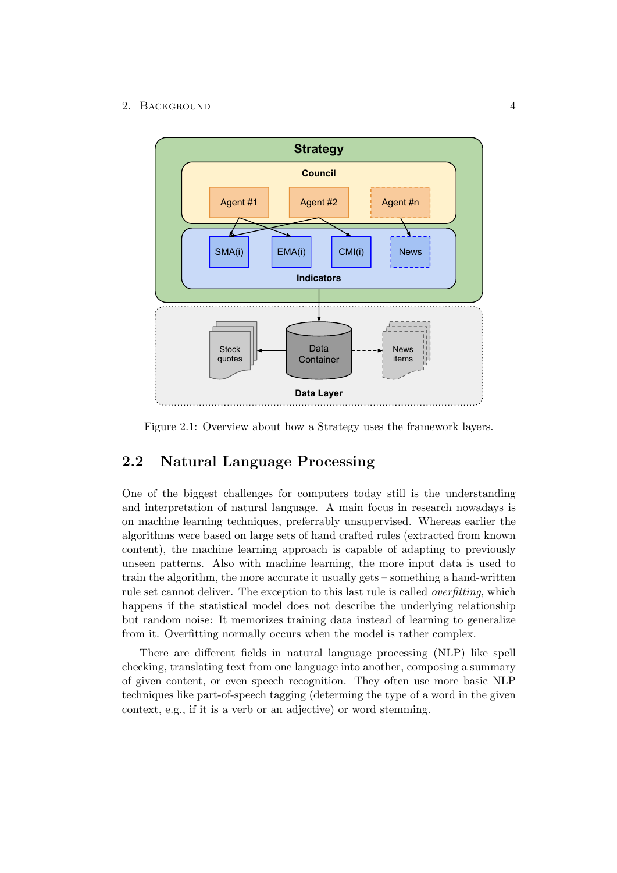### 2. BACKGROUND 4

<span id="page-8-1"></span>

Figure 2.1: Overview about how a Strategy uses the framework layers.

### <span id="page-8-0"></span>2.2 Natural Language Processing

One of the biggest challenges for computers today still is the understanding and interpretation of natural language. A main focus in research nowadays is on machine learning techniques, preferrably unsupervised. Whereas earlier the algorithms were based on large sets of hand crafted rules (extracted from known content), the machine learning approach is capable of adapting to previously unseen patterns. Also with machine learning, the more input data is used to train the algorithm, the more accurate it usually gets – something a hand-written rule set cannot deliver. The exception to this last rule is called overfitting, which happens if the statistical model does not describe the underlying relationship but random noise: It memorizes training data instead of learning to generalize from it. Overfitting normally occurs when the model is rather complex.

There are different fields in natural language processing (NLP) like spell checking, translating text from one language into another, composing a summary of given content, or even speech recognition. They often use more basic NLP techniques like part-of-speech tagging (determing the type of a word in the given context, e.g., if it is a verb or an adjective) or word stemming.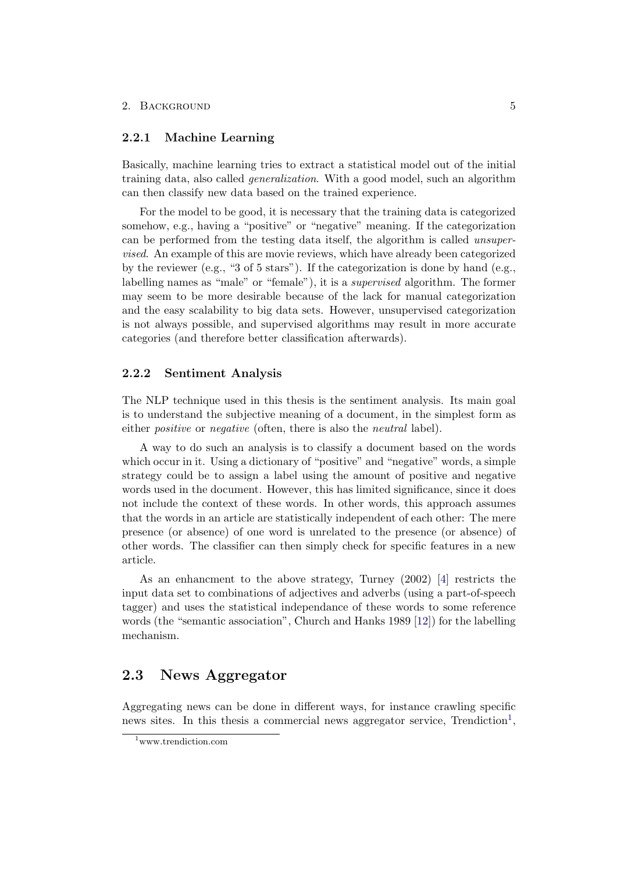### <span id="page-9-0"></span>2.2.1 Machine Learning

Basically, machine learning tries to extract a statistical model out of the initial training data, also called generalization. With a good model, such an algorithm can then classify new data based on the trained experience.

For the model to be good, it is necessary that the training data is categorized somehow, e.g., having a "positive" or "negative" meaning. If the categorization can be performed from the testing data itself, the algorithm is called unsupervised. An example of this are movie reviews, which have already been categorized by the reviewer (e.g., "3 of 5 stars"). If the categorization is done by hand (e.g., labelling names as "male" or "female"), it is a supervised algorithm. The former may seem to be more desirable because of the lack for manual categorization and the easy scalability to big data sets. However, unsupervised categorization is not always possible, and supervised algorithms may result in more accurate categories (and therefore better classification afterwards).

#### <span id="page-9-1"></span>2.2.2 Sentiment Analysis

The NLP technique used in this thesis is the sentiment analysis. Its main goal is to understand the subjective meaning of a document, in the simplest form as either *positive* or *negative* (often, there is also the *neutral* label).

A way to do such an analysis is to classify a document based on the words which occur in it. Using a dictionary of "positive" and "negative" words, a simple strategy could be to assign a label using the amount of positive and negative words used in the document. However, this has limited significance, since it does not include the context of these words. In other words, this approach assumes that the words in an article are statistically independent of each other: The mere presence (or absence) of one word is unrelated to the presence (or absence) of other words. The classifier can then simply check for specific features in a new article.

As an enhancment to the above strategy, Turney (2002) [\[4\]](#page-24-4) restricts the input data set to combinations of adjectives and adverbs (using a part-of-speech tagger) and uses the statistical independance of these words to some reference words (the "semantic association", Church and Hanks 1989 [\[12\]](#page-24-12)) for the labelling mechanism.

### <span id="page-9-2"></span>2.3 News Aggregator

Aggregating news can be done in different ways, for instance crawling specific news sites. In this thesis a commercial news aggregator service,  $Trendiction<sup>1</sup>$  $Trendiction<sup>1</sup>$  $Trendiction<sup>1</sup>$ ,

<span id="page-9-3"></span><sup>1</sup>www.trendiction.com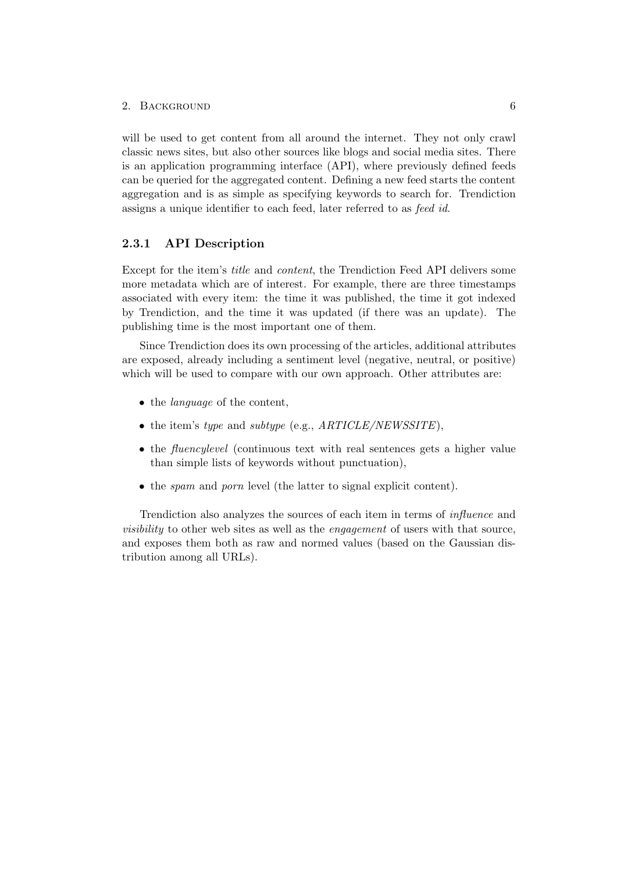#### 2. BACKGROUND 6

will be used to get content from all around the internet. They not only crawl classic news sites, but also other sources like blogs and social media sites. There is an application programming interface (API), where previously defined feeds can be queried for the aggregated content. Defining a new feed starts the content aggregation and is as simple as specifying keywords to search for. Trendiction assigns a unique identifier to each feed, later referred to as feed id.

### <span id="page-10-0"></span>2.3.1 API Description

Except for the item's title and content, the Trendiction Feed API delivers some more metadata which are of interest. For example, there are three timestamps associated with every item: the time it was published, the time it got indexed by Trendiction, and the time it was updated (if there was an update). The publishing time is the most important one of them.

Since Trendiction does its own processing of the articles, additional attributes are exposed, already including a sentiment level (negative, neutral, or positive) which will be used to compare with our own approach. Other attributes are:

- the *language* of the content,
- the item's type and subtype (e.g.,  $ARTICLE/NEWSSITE$ ),
- the *fluencylevel* (continuous text with real sentences gets a higher value than simple lists of keywords without punctuation),
- the *spam* and *porn* level (the latter to signal explicit content).

Trendiction also analyzes the sources of each item in terms of influence and visibility to other web sites as well as the engagement of users with that source, and exposes them both as raw and normed values (based on the Gaussian distribution among all URLs).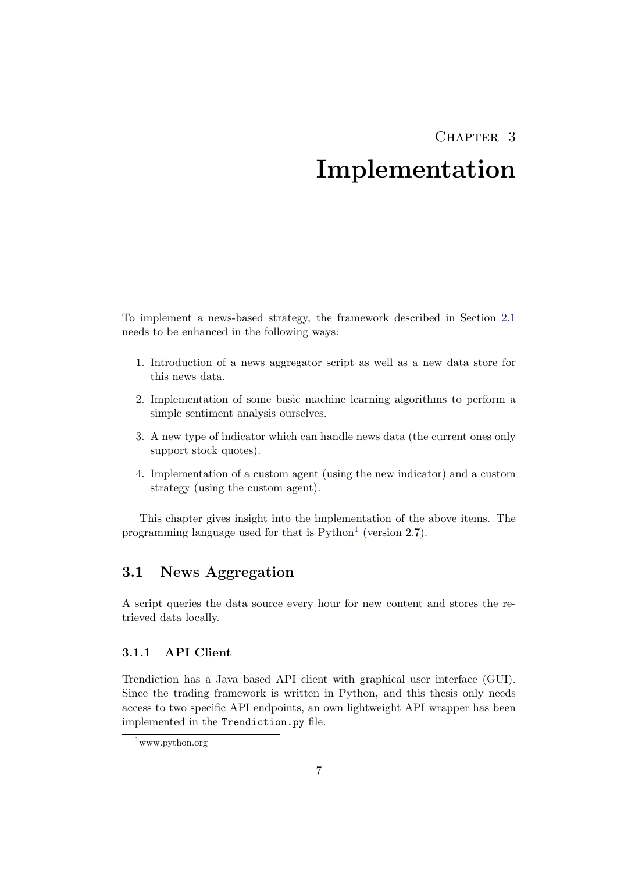# CHAPTER<sub>3</sub>

# Implementation

<span id="page-11-0"></span>To implement a news-based strategy, the framework described in Section [2.1](#page-7-1) needs to be enhanced in the following ways:

- 1. Introduction of a news aggregator script as well as a new data store for this news data.
- 2. Implementation of some basic machine learning algorithms to perform a simple sentiment analysis ourselves.
- 3. A new type of indicator which can handle news data (the current ones only support stock quotes).
- 4. Implementation of a custom agent (using the new indicator) and a custom strategy (using the custom agent).

This chapter gives insight into the implementation of the above items. The programming language used for that is  $Python<sup>1</sup>$  $Python<sup>1</sup>$  $Python<sup>1</sup>$  (version 2.7).

### <span id="page-11-1"></span>3.1 News Aggregation

A script queries the data source every hour for new content and stores the retrieved data locally.

### <span id="page-11-2"></span>3.1.1 API Client

Trendiction has a Java based API client with graphical user interface (GUI). Since the trading framework is written in Python, and this thesis only needs access to two specific API endpoints, an own lightweight API wrapper has been implemented in the Trendiction.py file.

<span id="page-11-3"></span> $1$ www.python.org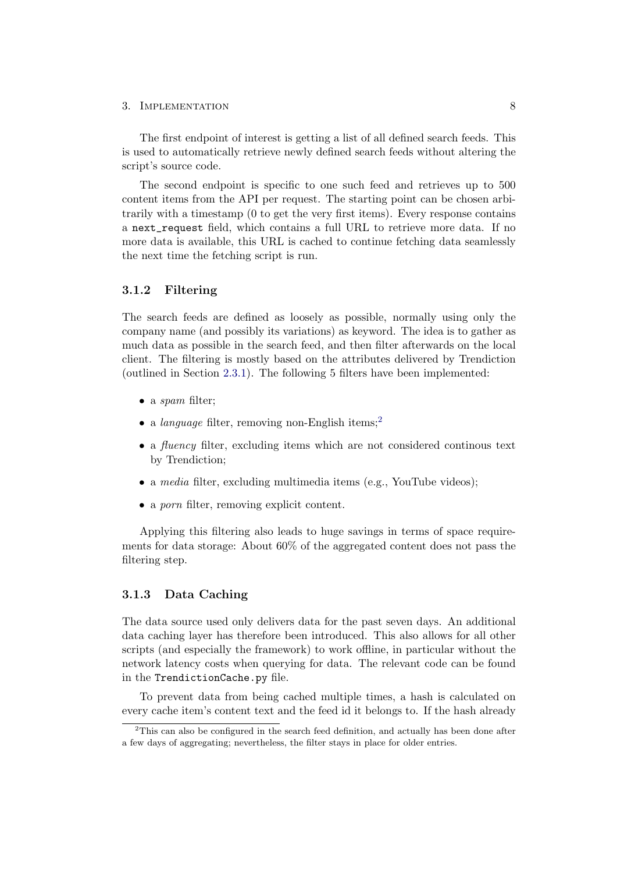#### 3. IMPLEMENTATION 8

The first endpoint of interest is getting a list of all defined search feeds. This is used to automatically retrieve newly defined search feeds without altering the script's source code.

The second endpoint is specific to one such feed and retrieves up to 500 content items from the API per request. The starting point can be chosen arbitrarily with a timestamp (0 to get the very first items). Every response contains a next\_request field, which contains a full URL to retrieve more data. If no more data is available, this URL is cached to continue fetching data seamlessly the next time the fetching script is run.

#### <span id="page-12-0"></span>3.1.2 Filtering

The search feeds are defined as loosely as possible, normally using only the company name (and possibly its variations) as keyword. The idea is to gather as much data as possible in the search feed, and then filter afterwards on the local client. The filtering is mostly based on the attributes delivered by Trendiction (outlined in Section [2.3.1\)](#page-10-0). The following 5 filters have been implemented:

- a *spam* filter;
- a language filter, removing non-English items;<sup>[2](#page-12-2)</sup>
- a *fluency* filter, excluding items which are not considered continous text by Trendiction;
- a *media* filter, excluding multimedia items (e.g., YouTube videos);
- a *porn* filter, removing explicit content.

Applying this filtering also leads to huge savings in terms of space requirements for data storage: About 60% of the aggregated content does not pass the filtering step.

### <span id="page-12-1"></span>3.1.3 Data Caching

The data source used only delivers data for the past seven days. An additional data caching layer has therefore been introduced. This also allows for all other scripts (and especially the framework) to work offline, in particular without the network latency costs when querying for data. The relevant code can be found in the TrendictionCache.py file.

To prevent data from being cached multiple times, a hash is calculated on every cache item's content text and the feed id it belongs to. If the hash already

<span id="page-12-2"></span> $2^2$ This can also be configured in the search feed definition, and actually has been done after a few days of aggregating; nevertheless, the filter stays in place for older entries.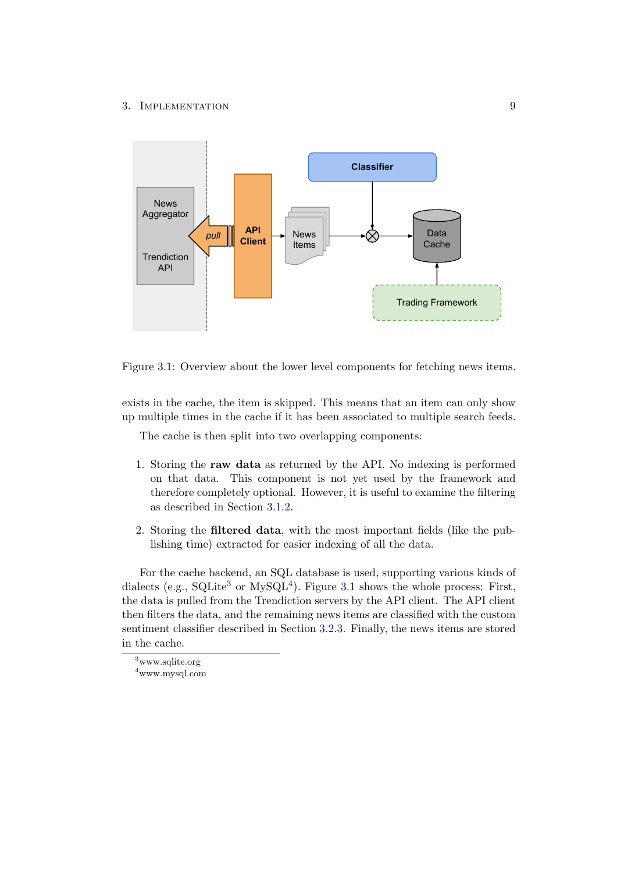#### 3. IMPLEMENTATION 9

<span id="page-13-2"></span>

Figure 3.1: Overview about the lower level components for fetching news items.

exists in the cache, the item is skipped. This means that an item can only show up multiple times in the cache if it has been associated to multiple search feeds.

The cache is then split into two overlapping components:

- 1. Storing the raw data as returned by the API. No indexing is performed on that data. This component is not yet used by the framework and therefore completely optional. However, it is useful to examine the filtering as described in Section [3.1.2.](#page-12-0)
- 2. Storing the filtered data, with the most important fields (like the publishing time) extracted for easier indexing of all the data.

For the cache backend, an SQL database is used, supporting various kinds of dialects (e.g.,  $\text{SQLite}^3$  $\text{SQLite}^3$  or  $\text{MySQL}^4$  $\text{MySQL}^4$ ). Figure [3.1](#page-13-2) shows the whole process: First, the data is pulled from the Trendiction servers by the API client. The API client then filters the data, and the remaining news items are classified with the custom sentiment classifier described in Section [3.2.3.](#page-16-0) Finally, the news items are stored in the cache.

<span id="page-13-0"></span><sup>3</sup>www.sqlite.org

<span id="page-13-1"></span><sup>4</sup>www.mysql.com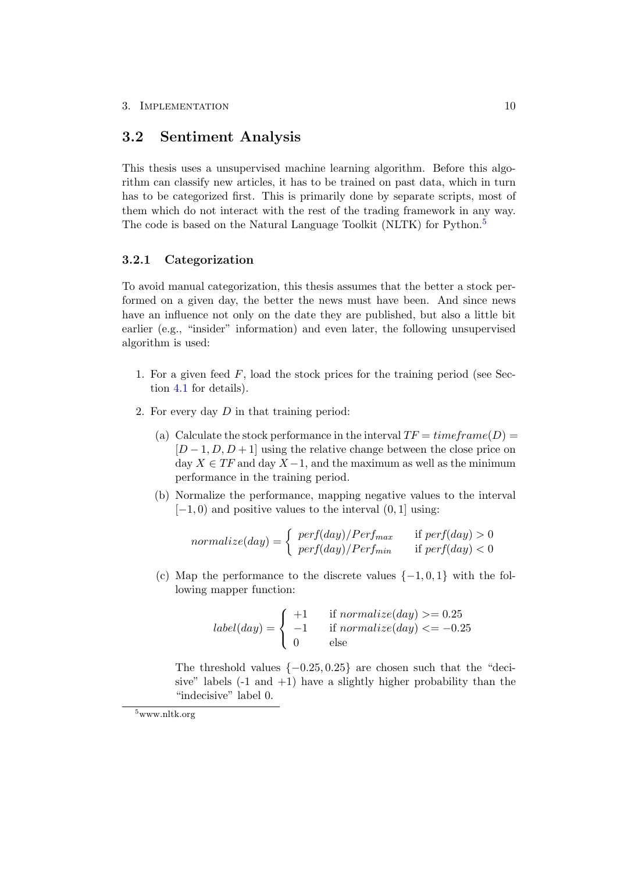### <span id="page-14-0"></span>3.2 Sentiment Analysis

This thesis uses a unsupervised machine learning algorithm. Before this algorithm can classify new articles, it has to be trained on past data, which in turn has to be categorized first. This is primarily done by separate scripts, most of them which do not interact with the rest of the trading framework in any way. The code is based on the Natural Language Toolkit (NLTK) for Python.<sup>[5](#page-14-2)</sup>

### <span id="page-14-1"></span>3.2.1 Categorization

To avoid manual categorization, this thesis assumes that the better a stock performed on a given day, the better the news must have been. And since news have an influence not only on the date they are published, but also a little bit earlier (e.g., "insider" information) and even later, the following unsupervised algorithm is used:

- 1. For a given feed  $F$ , load the stock prices for the training period (see Section [4.1](#page-18-1) for details).
- 2. For every day D in that training period:
	- (a) Calculate the stock performance in the interval  $TF = timeframe(D) =$  $[D-1, D, D+1]$  using the relative change between the close price on day  $X \in TF$  and day  $X - 1$ , and the maximum as well as the minimum performance in the training period.
	- (b) Normalize the performance, mapping negative values to the interval  $[-1, 0)$  and positive values to the interval  $(0, 1]$  using:

$$
normalized (day) = \begin{cases} \n\ perf (day) / Perf_{max} & \text{if } perf (day) > 0 \\ \n\ perf (day) / Perf_{min} & \text{if } perf (day) < 0 \n\end{cases}
$$

(c) Map the performance to the discrete values  $\{-1,0,1\}$  with the following mapper function:

$$
label(day) = \begin{cases} +1 & \text{if normalize}(day) > = 0.25\\ -1 & \text{if normalize}(day) < = -0.25\\ 0 & \text{else} \end{cases}
$$

The threshold values  $\{-0.25, 0.25\}$  are chosen such that the "deci-sive" labels  $(-1 \text{ and } +1)$  have a slightly higher probability than the "indecisive" label 0.

<span id="page-14-2"></span><sup>5</sup>www.nltk.org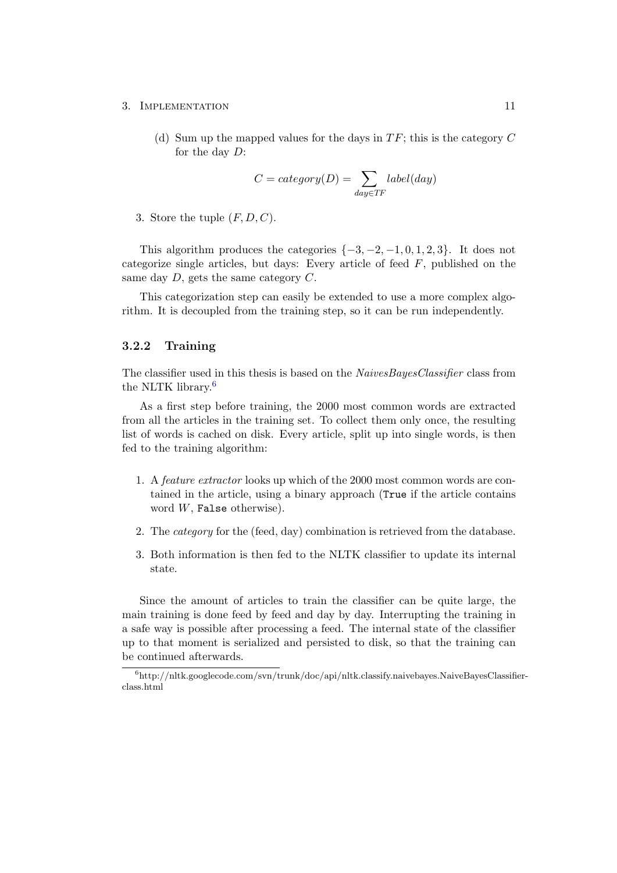#### 3. IMPLEMENTATION 11

(d) Sum up the mapped values for the days in  $TF$ ; this is the category  $C$ for the day D:

$$
C = category(D) = \sum_{day \in TF} label(day)
$$

3. Store the tuple  $(F, D, C)$ .

This algorithm produces the categories  $\{-3, -2, -1, 0, 1, 2, 3\}$ . It does not categorize single articles, but days: Every article of feed  $F$ , published on the same day  $D$ , gets the same category  $C$ .

This categorization step can easily be extended to use a more complex algorithm. It is decoupled from the training step, so it can be run independently.

### <span id="page-15-0"></span>3.2.2 Training

The classifier used in this thesis is based on the *NaivesBayesClassifier* class from the NLTK library.[6](#page-15-1)

As a first step before training, the 2000 most common words are extracted from all the articles in the training set. To collect them only once, the resulting list of words is cached on disk. Every article, split up into single words, is then fed to the training algorithm:

- 1. A feature extractor looks up which of the 2000 most common words are contained in the article, using a binary approach (True if the article contains word W, False otherwise).
- 2. The category for the (feed, day) combination is retrieved from the database.
- 3. Both information is then fed to the NLTK classifier to update its internal state.

Since the amount of articles to train the classifier can be quite large, the main training is done feed by feed and day by day. Interrupting the training in a safe way is possible after processing a feed. The internal state of the classifier up to that moment is serialized and persisted to disk, so that the training can be continued afterwards.

<span id="page-15-1"></span> ${}^{6}$ http://nltk.googlecode.com/svn/trunk/doc/api/nltk.classify.naivebayes.NaiveBayesClassifierclass.html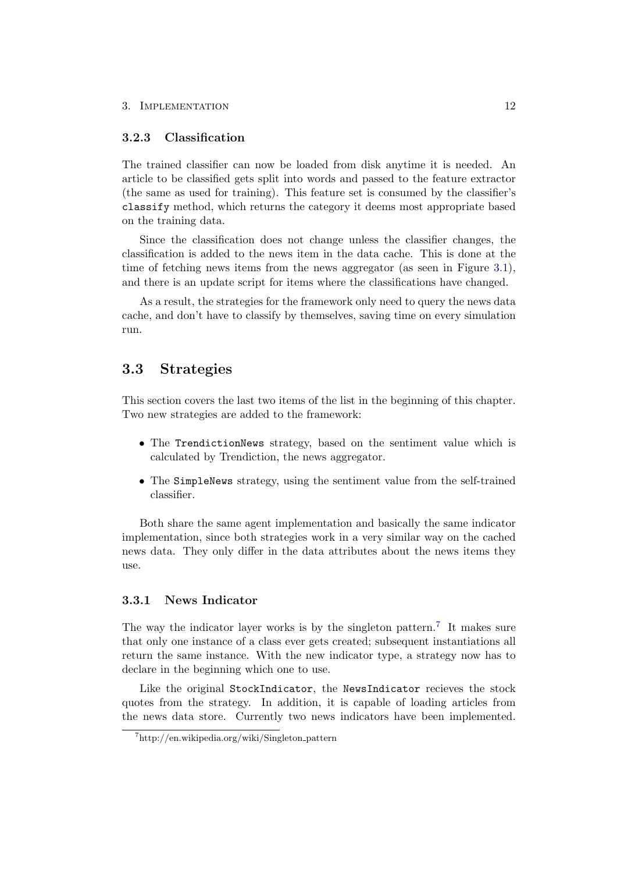### <span id="page-16-0"></span>3.2.3 Classification

The trained classifier can now be loaded from disk anytime it is needed. An article to be classified gets split into words and passed to the feature extractor (the same as used for training). This feature set is consumed by the classifier's classify method, which returns the category it deems most appropriate based on the training data.

Since the classification does not change unless the classifier changes, the classification is added to the news item in the data cache. This is done at the time of fetching news items from the news aggregator (as seen in Figure [3.1\)](#page-13-2), and there is an update script for items where the classifications have changed.

As a result, the strategies for the framework only need to query the news data cache, and don't have to classify by themselves, saving time on every simulation run.

### <span id="page-16-1"></span>3.3 Strategies

This section covers the last two items of the list in the beginning of this chapter. Two new strategies are added to the framework:

- The TrendictionNews strategy, based on the sentiment value which is calculated by Trendiction, the news aggregator.
- The SimpleNews strategy, using the sentiment value from the self-trained classifier.

Both share the same agent implementation and basically the same indicator implementation, since both strategies work in a very similar way on the cached news data. They only differ in the data attributes about the news items they use.

### <span id="page-16-2"></span>3.3.1 News Indicator

The way the indicator layer works is by the singleton pattern.<sup>[7](#page-16-3)</sup> It makes sure that only one instance of a class ever gets created; subsequent instantiations all return the same instance. With the new indicator type, a strategy now has to declare in the beginning which one to use.

Like the original StockIndicator, the NewsIndicator recieves the stock quotes from the strategy. In addition, it is capable of loading articles from the news data store. Currently two news indicators have been implemented.

<span id="page-16-3"></span><sup>7</sup>http://en.wikipedia.org/wiki/Singleton pattern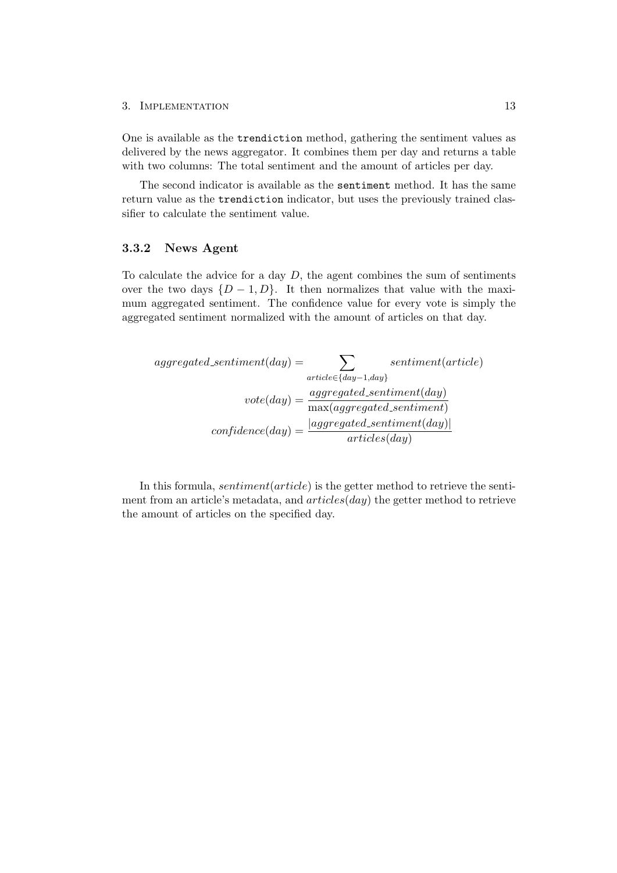#### 3. IMPLEMENTATION 13

One is available as the trendiction method, gathering the sentiment values as delivered by the news aggregator. It combines them per day and returns a table with two columns: The total sentiment and the amount of articles per day.

The second indicator is available as the sentiment method. It has the same return value as the trendiction indicator, but uses the previously trained classifier to calculate the sentiment value.

### <span id="page-17-0"></span>3.3.2 News Agent

To calculate the advice for a day  $D$ , the agent combines the sum of sentiments over the two days  $\{D-1, D\}$ . It then normalizes that value with the maximum aggregated sentiment. The confidence value for every vote is simply the aggregated sentiment normalized with the amount of articles on that day.

$$
aggregate d\_sentiment (day) = \sum_{article \in \{day-1, day\}} sentiment(article)
$$

$$
vote (day) = \frac{aggregate d\_sentiment (day)}{\max(aggregate d\_sentiment)}
$$

$$
confidence (day) = \frac{|aggregate d\_sentiment (day)|}{article (day)}
$$

In this formula, *sentiment*(*article*) is the getter method to retrieve the sentiment from an article's metadata, and  $articles/day)$  the getter method to retrieve the amount of articles on the specified day.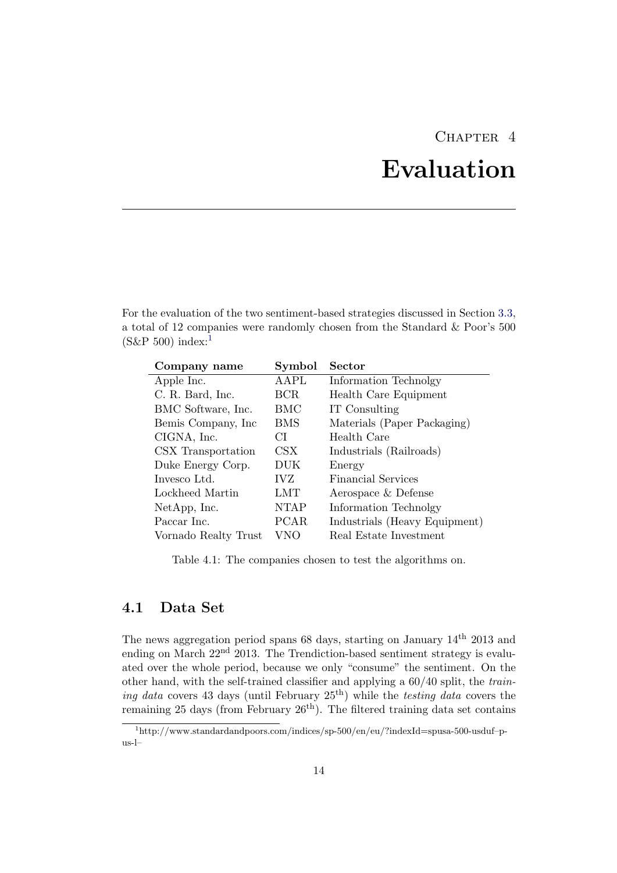# CHAPTER<sub>4</sub>

# Evaluation

<span id="page-18-0"></span>For the evaluation of the two sentiment-based strategies discussed in Section [3.3,](#page-16-1) a total of 12 companies were randomly chosen from the Standard & Poor's 500  $(S\&P 500)$  index:<sup>[1](#page-18-2)</sup>

<span id="page-18-3"></span>

| Company name         | Symbol       | Sector                        |
|----------------------|--------------|-------------------------------|
| Apple Inc.           | AAPL         | Information Technolgy         |
| C. R. Bard, Inc.     | BCR          | Health Care Equipment         |
| BMC Software, Inc.   | BMC          | IT Consulting                 |
| Bemis Company, Inc.  | BMS          | Materials (Paper Packaging)   |
| CIGNA, Inc.          | СI           | Health Care                   |
| CSX Transportation   | $\text{CSX}$ | Industrials (Railroads)       |
| Duke Energy Corp.    | DUK          | Energy                        |
| Invesco Ltd.         | IVZ          | Financial Services            |
| Lockheed Martin      | LMT          | Aerospace & Defense           |
| NetApp, Inc.         | <b>NTAP</b>  | Information Technolgy         |
| Paccar Inc.          | PCAR.        | Industrials (Heavy Equipment) |
| Vornado Realty Trust | VNO          | Real Estate Investment        |

Table 4.1: The companies chosen to test the algorithms on.

# <span id="page-18-1"></span>4.1 Data Set

The news aggregation period spans 68 days, starting on January  $14<sup>th</sup>$  2013 and ending on March  $22<sup>nd</sup>$  2013. The Trendiction-based sentiment strategy is evaluated over the whole period, because we only "consume" the sentiment. On the other hand, with the self-trained classifier and applying a 60/40 split, the training data covers 43 days (until February  $25<sup>th</sup>$ ) while the testing data covers the remaining 25 days (from February  $26^{th}$ ). The filtered training data set contains

<span id="page-18-2"></span><sup>1</sup>http://www.standardandpoors.com/indices/sp-500/en/eu/?indexId=spusa-500-usduf–pus-l–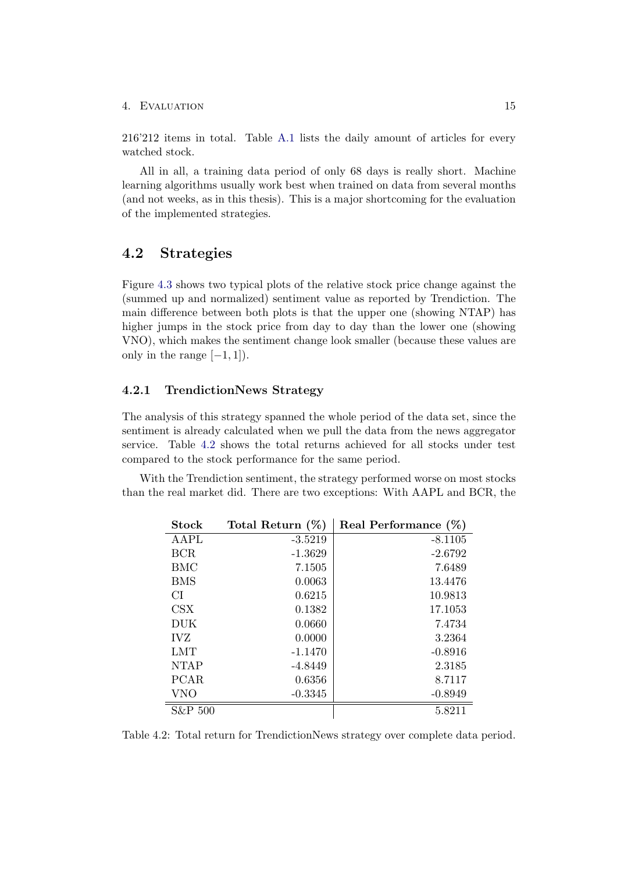#### 4. Evaluation 15

216'212 items in total. Table [A.1](#page-29-0) lists the daily amount of articles for every watched stock.

All in all, a training data period of only 68 days is really short. Machine learning algorithms usually work best when trained on data from several months (and not weeks, as in this thesis). This is a major shortcoming for the evaluation of the implemented strategies.

### <span id="page-19-0"></span>4.2 Strategies

Figure [4.3](#page-22-0) shows two typical plots of the relative stock price change against the (summed up and normalized) sentiment value as reported by Trendiction. The main difference between both plots is that the upper one (showing NTAP) has higher jumps in the stock price from day to day than the lower one (showing VNO), which makes the sentiment change look smaller (because these values are only in the range  $[-1, 1]$ .

### <span id="page-19-1"></span>4.2.1 TrendictionNews Strategy

The analysis of this strategy spanned the whole period of the data set, since the sentiment is already calculated when we pull the data from the news aggregator service. Table [4.2](#page-19-2) shows the total returns achieved for all stocks under test compared to the stock performance for the same period.

<span id="page-19-2"></span>With the Trendiction sentiment, the strategy performed worse on most stocks than the real market did. There are two exceptions: With AAPL and BCR, the

| Stock       | Total Return $(\%)$ | Real Performance $(\%)$ |
|-------------|---------------------|-------------------------|
| AAPL        | $-3.5219$           | $-8.1105$               |
| <b>BCR</b>  | $-1.3629$           | $-2.6792$               |
| BMC         | 7.1505              | 7.6489                  |
| <b>BMS</b>  | 0.0063              | 13.4476                 |
| СI          | 0.6215              | 10.9813                 |
| CSX         | 0.1382              | 17.1053                 |
| DUK         | 0.0660              | 7.4734                  |
| <b>IVZ</b>  | 0.0000              | 3.2364                  |
| LMT         | $-1.1470$           | $-0.8916$               |
| <b>NTAP</b> | $-4.8449$           | 2.3185                  |
| <b>PCAR</b> | 0.6356              | 8.7117                  |
| <b>VNO</b>  | $-0.3345$           | $-0.8949$               |
| S&P 500     |                     | 5.8211                  |

Table 4.2: Total return for TrendictionNews strategy over complete data period.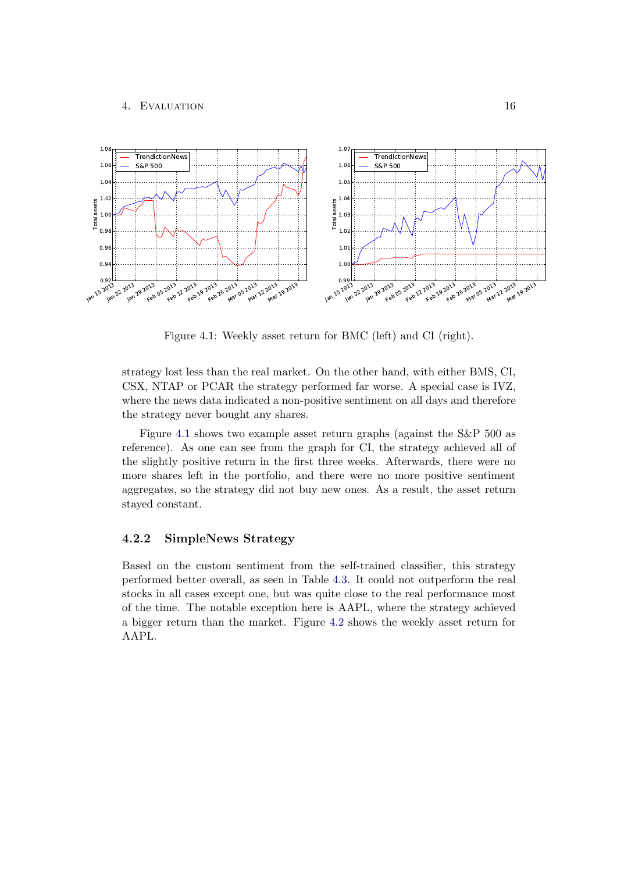#### <span id="page-20-1"></span>4. Evaluation 16



Figure 4.1: Weekly asset return for BMC (left) and CI (right).

strategy lost less than the real market. On the other hand, with either BMS, CI, CSX, NTAP or PCAR the strategy performed far worse. A special case is IVZ, where the news data indicated a non-positive sentiment on all days and therefore the strategy never bought any shares.

Figure [4.1](#page-20-1) shows two example asset return graphs (against the S&P 500 as reference). As one can see from the graph for CI, the strategy achieved all of the slightly positive return in the first three weeks. Afterwards, there were no more shares left in the portfolio, and there were no more positive sentiment aggregates, so the strategy did not buy new ones. As a result, the asset return stayed constant.

### <span id="page-20-0"></span>4.2.2 SimpleNews Strategy

Based on the custom sentiment from the self-trained classifier, this strategy performed better overall, as seen in Table [4.3.](#page-21-0) It could not outperform the real stocks in all cases except one, but was quite close to the real performance most of the time. The notable exception here is AAPL, where the strategy achieved a bigger return than the market. Figure [4.2](#page-21-1) shows the weekly asset return for AAPL.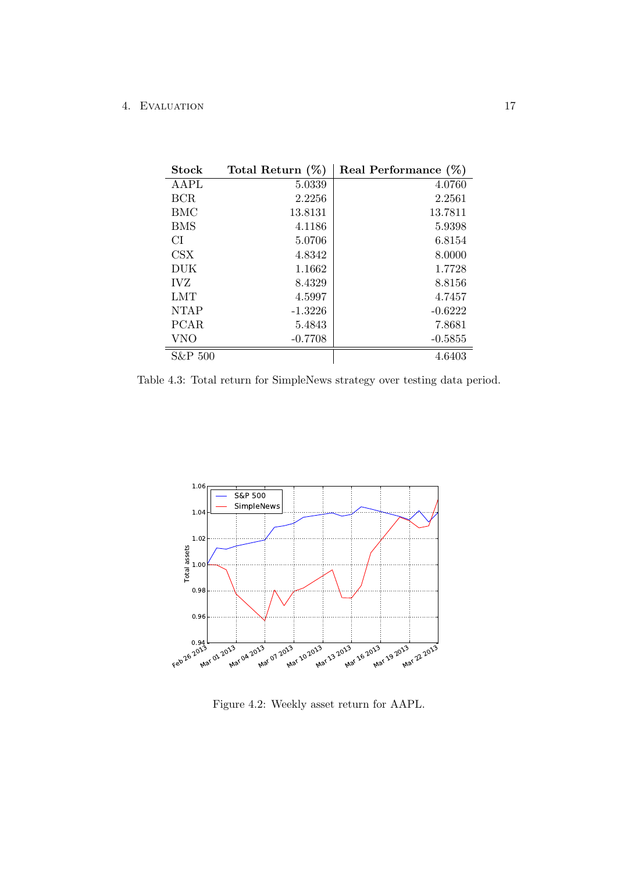### 4. Evaluation 17

<span id="page-21-0"></span>

| <b>Stock</b> | Total Return $(\%)$ | Real Performance $(\%)$ |
|--------------|---------------------|-------------------------|
| AAPL         | 5.0339              | 4.0760                  |
| <b>BCR</b>   | 2.2256              | 2.2561                  |
| <b>BMC</b>   | 13.8131             | 13.7811                 |
| <b>BMS</b>   | 4.1186              | 5.9398                  |
| <b>CI</b>    | 5.0706              | 6.8154                  |
| <b>CSX</b>   | 4.8342              | 8.0000                  |
| DUK          | 1.1662              | 1.7728                  |
| <b>IVZ</b>   | 8.4329              | 8.8156                  |
| <b>LMT</b>   | 4.5997              | 4.7457                  |
| <b>NTAP</b>  | $-1.3226$           | $-0.6222$               |
| <b>PCAR</b>  | 5.4843              | 7.8681                  |
| <b>VNO</b>   | $-0.7708$           | $-0.5855$               |
| S&P 500      |                     | 4.6403                  |

Table 4.3: Total return for SimpleNews strategy over testing data period.

<span id="page-21-1"></span>

Figure 4.2: Weekly asset return for AAPL.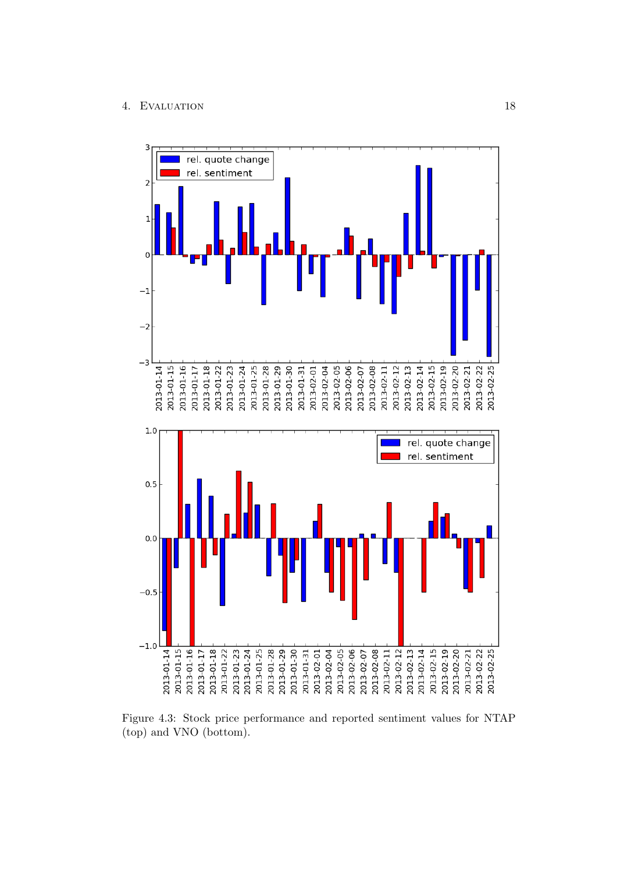### 4. EVALUATION 18

<span id="page-22-0"></span>

Figure 4.3: Stock price performance and reported sentiment values for NTAP (top) and VNO (bottom).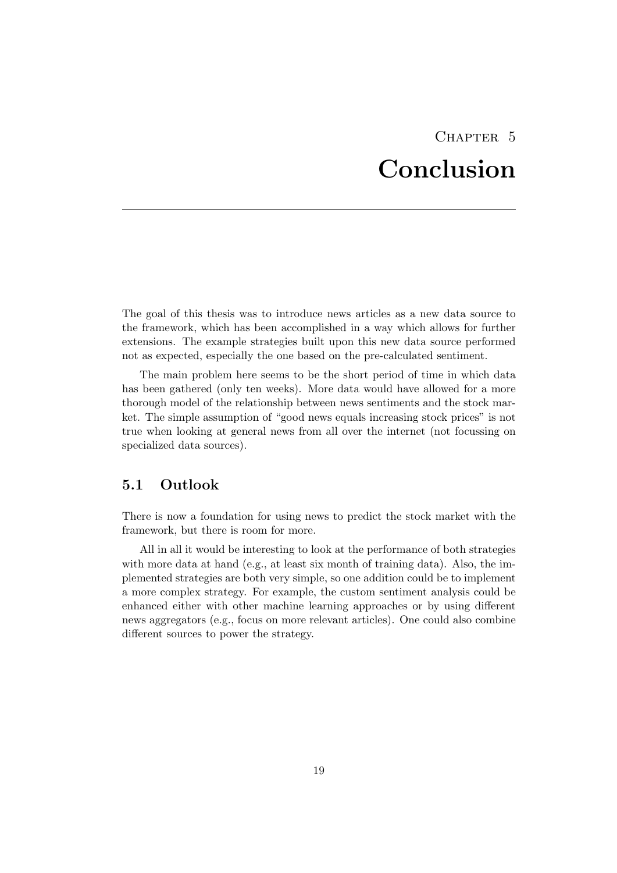# CHAPTER<sub>5</sub> Conclusion

<span id="page-23-0"></span>The goal of this thesis was to introduce news articles as a new data source to the framework, which has been accomplished in a way which allows for further extensions. The example strategies built upon this new data source performed not as expected, especially the one based on the pre-calculated sentiment.

The main problem here seems to be the short period of time in which data has been gathered (only ten weeks). More data would have allowed for a more thorough model of the relationship between news sentiments and the stock market. The simple assumption of "good news equals increasing stock prices" is not true when looking at general news from all over the internet (not focussing on specialized data sources).

### <span id="page-23-1"></span>5.1 Outlook

There is now a foundation for using news to predict the stock market with the framework, but there is room for more.

All in all it would be interesting to look at the performance of both strategies with more data at hand (e.g., at least six month of training data). Also, the implemented strategies are both very simple, so one addition could be to implement a more complex strategy. For example, the custom sentiment analysis could be enhanced either with other machine learning approaches or by using different news aggregators (e.g., focus on more relevant articles). One could also combine different sources to power the strategy.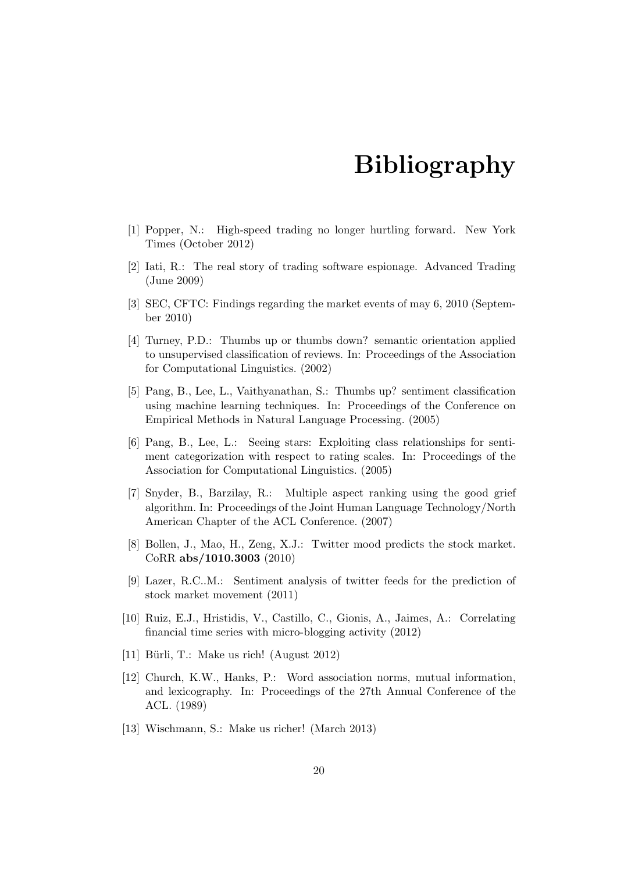# Bibliography

- <span id="page-24-1"></span><span id="page-24-0"></span>[1] Popper, N.: High-speed trading no longer hurtling forward. New York Times (October 2012)
- <span id="page-24-2"></span>[2] Iati, R.: The real story of trading software espionage. Advanced Trading (June 2009)
- <span id="page-24-3"></span>[3] SEC, CFTC: Findings regarding the market events of may 6, 2010 (September 2010)
- <span id="page-24-4"></span>[4] Turney, P.D.: Thumbs up or thumbs down? semantic orientation applied to unsupervised classification of reviews. In: Proceedings of the Association for Computational Linguistics. (2002)
- <span id="page-24-5"></span>[5] Pang, B., Lee, L., Vaithyanathan, S.: Thumbs up? sentiment classification using machine learning techniques. In: Proceedings of the Conference on Empirical Methods in Natural Language Processing. (2005)
- <span id="page-24-6"></span>[6] Pang, B., Lee, L.: Seeing stars: Exploiting class relationships for sentiment categorization with respect to rating scales. In: Proceedings of the Association for Computational Linguistics. (2005)
- <span id="page-24-7"></span>[7] Snyder, B., Barzilay, R.: Multiple aspect ranking using the good grief algorithm. In: Proceedings of the Joint Human Language Technology/North American Chapter of the ACL Conference. (2007)
- <span id="page-24-8"></span>[8] Bollen, J., Mao, H., Zeng, X.J.: Twitter mood predicts the stock market. CoRR abs/1010.3003 (2010)
- <span id="page-24-9"></span>[9] Lazer, R.C..M.: Sentiment analysis of twitter feeds for the prediction of stock market movement (2011)
- <span id="page-24-10"></span>[10] Ruiz, E.J., Hristidis, V., Castillo, C., Gionis, A., Jaimes, A.: Correlating financial time series with micro-blogging activity (2012)
- <span id="page-24-11"></span>[11] Bürli, T.: Make us rich! (August 2012)
- <span id="page-24-12"></span>[12] Church, K.W., Hanks, P.: Word association norms, mutual information, and lexicography. In: Proceedings of the 27th Annual Conference of the ACL. (1989)
- <span id="page-24-13"></span>[13] Wischmann, S.: Make us richer! (March 2013)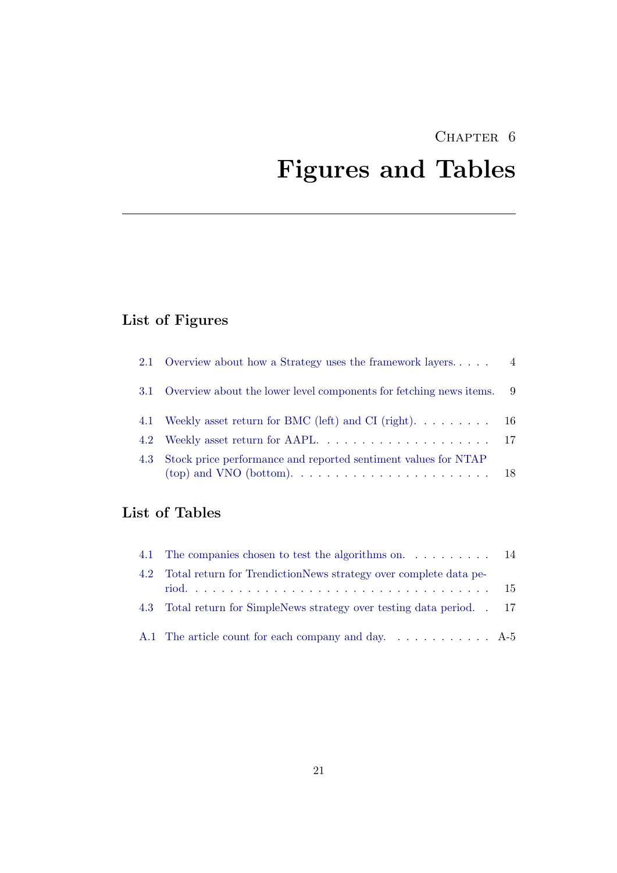# <span id="page-25-0"></span>CHAPTER 6 Figures and Tables

# List of Figures

| 2.1 Overview about how a Strategy uses the framework layers              | $\overline{4}$ |
|--------------------------------------------------------------------------|----------------|
| 3.1 Overview about the lower level components for fetching news items. 9 |                |
| 4.1 Weekly asset return for BMC (left) and CI (right). 16                |                |
|                                                                          |                |
| 4.3 Stock price performance and reported sentiment values for NTAP       |                |

# List of Tables

| 4.1 The companies chosen to test the algorithms on 14                 |  |
|-----------------------------------------------------------------------|--|
| 4.2 Total return for TrendictionNews strategy over complete data pe-  |  |
| 4.3 Total return for SimpleNews strategy over testing data period. 17 |  |
| A.1 The article count for each company and day $A-5$                  |  |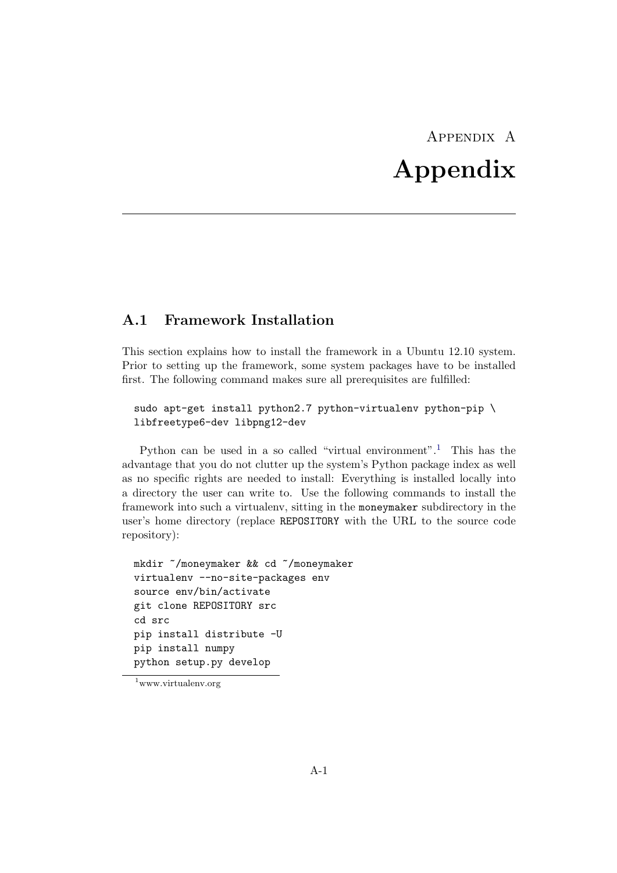# Appendix A Appendix

### <span id="page-26-1"></span><span id="page-26-0"></span>A.1 Framework Installation

This section explains how to install the framework in a Ubuntu 12.10 system. Prior to setting up the framework, some system packages have to be installed first. The following command makes sure all prerequisites are fulfilled:

```
sudo apt-get install python2.7 python-virtualenv python-pip \setminuslibfreetype6-dev libpng12-dev
```
Python can be used in a so called "virtual environment".<sup>[1](#page-26-2)</sup> This has the advantage that you do not clutter up the system's Python package index as well as no specific rights are needed to install: Everything is installed locally into a directory the user can write to. Use the following commands to install the framework into such a virtualenv, sitting in the moneymaker subdirectory in the user's home directory (replace REPOSITORY with the URL to the source code repository):

```
mkdir ~/moneymaker && cd ~/moneymaker
virtualenv --no-site-packages env
source env/bin/activate
git clone REPOSITORY src
cd src
pip install distribute -U
pip install numpy
python setup.py develop
```
<span id="page-26-2"></span><sup>1</sup>www.virtualenv.org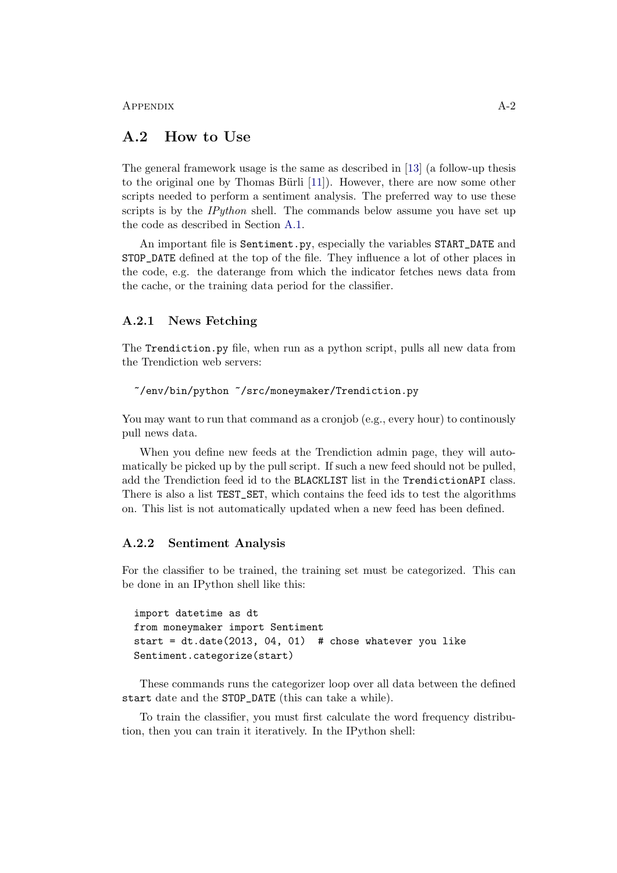APPENDIX  $A-2$ 

### <span id="page-27-0"></span>A.2 How to Use

The general framework usage is the same as described in [\[13\]](#page-24-13) (a follow-up thesis to the original one by Thomas Bürli  $[11]$ . However, there are now some other scripts needed to perform a sentiment analysis. The preferred way to use these scripts is by the  $IPython$  shell. The commands below assume you have set up the code as described in Section [A.1.](#page-26-1)

An important file is Sentiment.py, especially the variables START\_DATE and STOP\_DATE defined at the top of the file. They influence a lot of other places in the code, e.g. the daterange from which the indicator fetches news data from the cache, or the training data period for the classifier.

### <span id="page-27-1"></span>A.2.1 News Fetching

The Trendiction.py file, when run as a python script, pulls all new data from the Trendiction web servers:

```
~/env/bin/python ~/src/moneymaker/Trendiction.py
```
You may want to run that command as a cronjob (e.g., every hour) to continously pull news data.

When you define new feeds at the Trendiction admin page, they will automatically be picked up by the pull script. If such a new feed should not be pulled, add the Trendiction feed id to the BLACKLIST list in the TrendictionAPI class. There is also a list TEST\_SET, which contains the feed ids to test the algorithms on. This list is not automatically updated when a new feed has been defined.

### <span id="page-27-2"></span>A.2.2 Sentiment Analysis

For the classifier to be trained, the training set must be categorized. This can be done in an IPython shell like this:

```
import datetime as dt
from moneymaker import Sentiment
start = dt.date(2013, 04, 01) # chose whatever you like
Sentiment.categorize(start)
```
These commands runs the categorizer loop over all data between the defined start date and the STOP\_DATE (this can take a while).

To train the classifier, you must first calculate the word frequency distribution, then you can train it iteratively. In the IPython shell: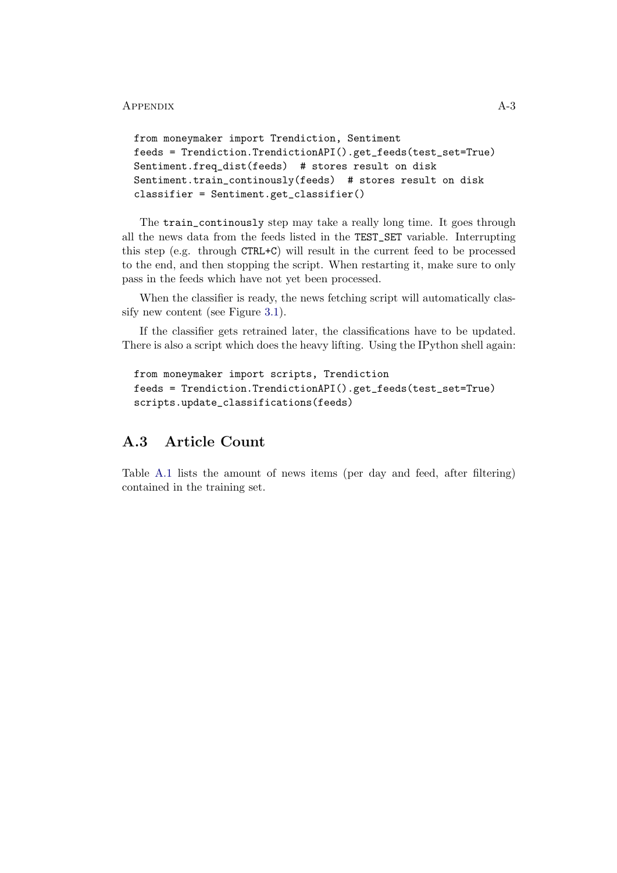### APPENDIX A-3

```
from moneymaker import Trendiction, Sentiment
feeds = Trendiction.TrendictionAPI().get_feeds(test_set=True)
Sentiment.freq_dist(feeds) # stores result on disk
Sentiment.train_continously(feeds) # stores result on disk
classifier = Sentiment.get_classifier()
```
The train\_continously step may take a really long time. It goes through all the news data from the feeds listed in the TEST\_SET variable. Interrupting this step (e.g. through CTRL+C) will result in the current feed to be processed to the end, and then stopping the script. When restarting it, make sure to only pass in the feeds which have not yet been processed.

When the classifier is ready, the news fetching script will automatically classify new content (see Figure [3.1\)](#page-13-2).

If the classifier gets retrained later, the classifications have to be updated. There is also a script which does the heavy lifting. Using the IPython shell again:

```
from moneymaker import scripts, Trendiction
feeds = Trendiction.TrendictionAPI().get_feeds(test_set=True)
scripts.update_classifications(feeds)
```
# <span id="page-28-0"></span>A.3 Article Count

Table [A.1](#page-29-0) lists the amount of news items (per day and feed, after filtering) contained in the training set.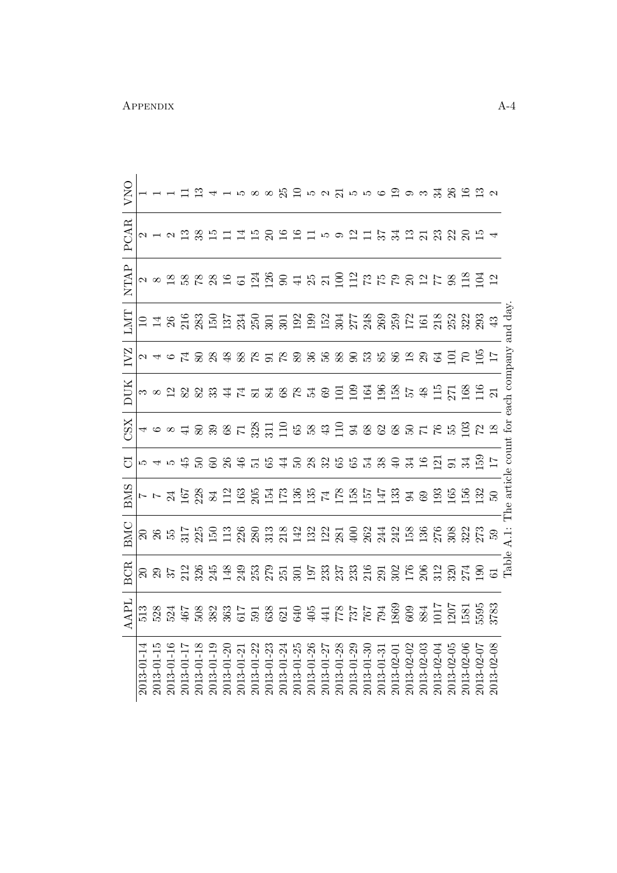|                  | APL | <b>BCR</b> | <b>BMC</b>    | <b>BMS</b> | $\overline{C}$ | XSC                                                           | <b>DUK</b> | IVZ  | LMT     | NTAP | PCAR                           | VNO                                      |
|------------------|-----|------------|---------------|------------|----------------|---------------------------------------------------------------|------------|------|---------|------|--------------------------------|------------------------------------------|
| $2013 - 01 - 1$  | 513 |            |               |            |                |                                                               |            |      |         |      |                                |                                          |
| 2013-01-1        |     |            |               |            |                |                                                               |            |      |         |      |                                |                                          |
| $2013 - 01 - 10$ |     |            |               |            |                |                                                               |            |      |         |      |                                |                                          |
| $2013 - 01 - 1$  |     |            |               |            |                |                                                               |            |      |         |      |                                |                                          |
| 2013-01-18       |     |            |               |            |                |                                                               |            |      |         |      |                                |                                          |
| 2013-01-19       |     |            |               |            |                |                                                               |            |      |         |      |                                |                                          |
| 2013-01-20       |     |            |               |            |                |                                                               |            |      |         |      |                                |                                          |
| 2013-01-21       |     |            |               |            |                |                                                               |            |      |         |      |                                |                                          |
| $2013 - 01 - 22$ |     |            |               |            |                |                                                               |            |      |         |      |                                |                                          |
| 2013-01-23       |     |            |               |            |                |                                                               |            |      |         |      |                                |                                          |
| $2013 - 01 - 2$  |     |            |               |            |                |                                                               |            |      |         |      |                                |                                          |
| $2013 - 01 - 2$  |     |            |               |            |                |                                                               |            |      |         |      |                                |                                          |
| $2013 - 01 - 20$ |     |            |               |            |                |                                                               |            |      |         |      |                                |                                          |
| 2013-01-2        |     |            |               |            |                |                                                               |            |      |         |      |                                |                                          |
| $2013 - 01 - 28$ |     |            |               |            |                |                                                               |            |      |         |      |                                |                                          |
| 2013-01-29       |     |            |               |            |                |                                                               |            |      |         |      |                                |                                          |
| 2013-01-3        |     |            |               |            |                |                                                               |            |      |         |      |                                |                                          |
| $2013 - 01 - 3$  |     |            |               |            |                |                                                               |            |      |         |      |                                |                                          |
| 2013-02-0        |     |            |               |            |                |                                                               |            |      |         |      |                                |                                          |
| 2013-02-0        |     |            |               |            |                |                                                               |            |      |         |      |                                |                                          |
| 2013-02-03       |     |            |               |            |                |                                                               |            |      |         |      |                                |                                          |
| 2013-02-0        |     |            |               |            |                |                                                               |            |      |         |      |                                |                                          |
| $2013 - 02 - 05$ |     |            |               |            |                | 4 6 8 4 8 8 8 2 2 8 3 1 2 2 8 8 4 2 3 8 8 8 8 8 5 7 8 5 2 8 9 |            |      |         |      | 212B%比111万の191159211了310000000 | 11 12 41588名 2 52 3 556 2 93 3 2 2 2 2 2 |
| $2013 - 02 - 06$ |     |            |               |            |                |                                                               |            |      |         |      |                                |                                          |
| 2013-02-07       |     |            |               |            |                |                                                               |            |      |         |      |                                |                                          |
|                  |     |            |               |            |                |                                                               |            |      | $43\,$  |      |                                |                                          |
|                  |     | Table      | $\frac{1}{4}$ |            | article count  | $\operatorname{for}$                                          | each com   | pany | and day |      |                                |                                          |

<span id="page-29-0"></span>APPENDIX  $A-4$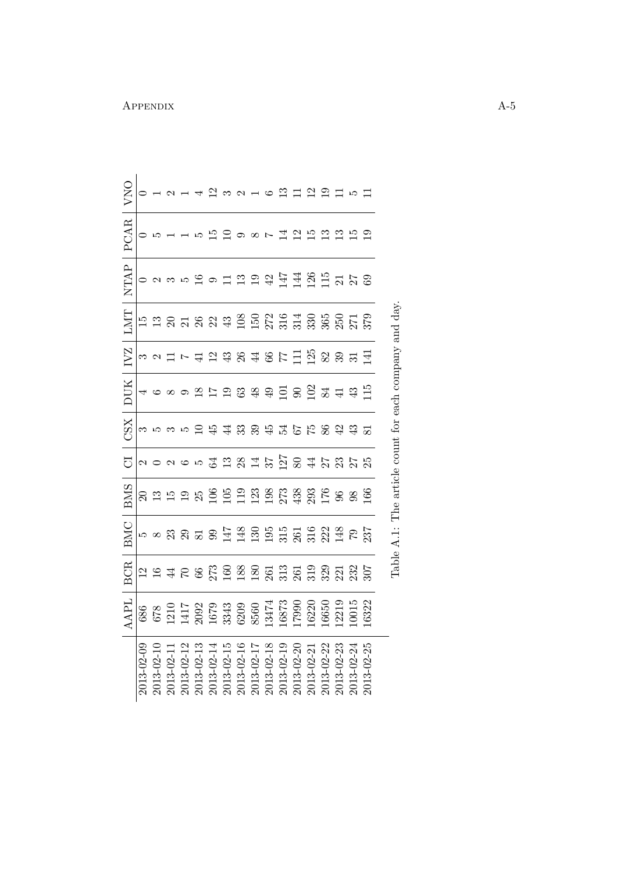|                      | AAPL                                                                                                                                               | <b>BCR</b> | <b>BMC</b> | <b>BMS</b>                                 | J                                   | <b>ZSZ</b>    | DUK                                 | <b>IVZ</b>                             | LMT                                   | NTAP                             | PCAR           | VNO                  |
|----------------------|----------------------------------------------------------------------------------------------------------------------------------------------------|------------|------------|--------------------------------------------|-------------------------------------|---------------|-------------------------------------|----------------------------------------|---------------------------------------|----------------------------------|----------------|----------------------|
| $2013 - 02 - 09$     | 686                                                                                                                                                |            |            |                                            |                                     |               | 4                                   |                                        |                                       |                                  | $\circ$        |                      |
| 2013-02-10           |                                                                                                                                                    |            |            |                                            |                                     |               |                                     |                                        |                                       |                                  |                |                      |
| 2013-02-1            |                                                                                                                                                    |            |            |                                            |                                     |               |                                     |                                        |                                       |                                  |                |                      |
| 2013-02-12           |                                                                                                                                                    |            |            |                                            |                                     |               |                                     |                                        |                                       |                                  |                |                      |
| 2013-02-13           |                                                                                                                                                    |            |            |                                            |                                     |               |                                     |                                        |                                       |                                  |                |                      |
| 2013-02-14           |                                                                                                                                                    |            |            |                                            |                                     | <b>台</b> 年    |                                     |                                        |                                       |                                  |                |                      |
| 2013-02-15           | $\begin{array}{l} 678 \\ 1210 \\ 1417 \\ 2092 \\ 1679 \\ 1679 \\ 3343 \\ 6200 \\ 8560 \\ 13474 \\ 13473 \\ 13473 \\ 16873 \\ 16873 \\ \end{array}$ |            |            |                                            | 20265 4 m 3 m 4 k 5 g 8 4 k 3 k 3 k |               | 6 8 9 8 7 9 8 9 9 9 9 9 9 9 9 9 9 9 | 32 ロ7 4 12 4 3 4 4 6 7 1 1 2 3 3 3 5 4 | E E S E S E S E S E S E S E S E S E S | 5 19 9 11 21 21 21 21 21 21 22 3 | 15 19 29 20 21 | $23$ $3$ $   22$ $-$ |
| 2013-02-16           |                                                                                                                                                    |            |            |                                            |                                     |               |                                     |                                        |                                       |                                  |                |                      |
| 2013-02-17           |                                                                                                                                                    |            |            |                                            |                                     | $33397555899$ |                                     |                                        |                                       |                                  |                |                      |
| 2013-02-18           |                                                                                                                                                    |            |            |                                            |                                     |               |                                     |                                        |                                       |                                  |                |                      |
| 2013-02-19           |                                                                                                                                                    |            |            |                                            |                                     |               |                                     |                                        |                                       |                                  |                |                      |
| 2013-02-20           |                                                                                                                                                    |            |            |                                            |                                     |               |                                     |                                        |                                       |                                  |                |                      |
| 2013-02-21           | 6220                                                                                                                                               |            |            |                                            |                                     |               |                                     |                                        |                                       |                                  | $\frac{15}{2}$ | $\frac{2}{19}$       |
| 2013-02-22           | .6650                                                                                                                                              |            |            |                                            |                                     |               |                                     |                                        |                                       |                                  |                |                      |
| 2013-02-23           | 2219                                                                                                                                               |            |            |                                            |                                     |               |                                     |                                        |                                       |                                  | $\frac{2}{13}$ | $\Box$               |
| 2013-02-24           | 0015                                                                                                                                               |            |            |                                            |                                     |               |                                     |                                        |                                       |                                  | $\vec{E}$      | LC.                  |
| $3 - 02 - 25$<br>201 | 6322                                                                                                                                               |            |            |                                            |                                     | 81            |                                     |                                        |                                       |                                  |                |                      |
|                      |                                                                                                                                                    | Table.     | $A.1$ :    | The article count for each company and day |                                     |               |                                     |                                        |                                       |                                  |                |                      |

APPENDIX  $A-5$